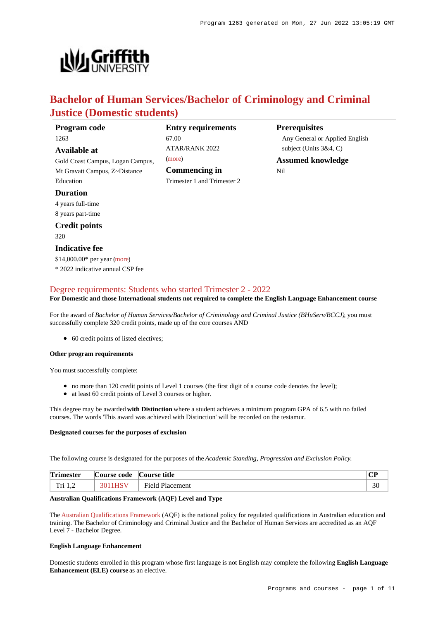**Prerequisites**

Nil

Any General or Applied English

subject (Units 3&4, C) **Assumed knowledge**



# **Bachelor of Human Services/Bachelor of Criminology and Criminal Justice (Domestic students)**

| Program code                     | <b>Entry requirements</b>   |
|----------------------------------|-----------------------------|
| 1263                             | 67.00                       |
| Available at                     | <b>ATAR/RANK 2022</b>       |
| Gold Coast Campus, Logan Campus, | (more)                      |
| Mt Gravatt Campus, Z~Distance    | Commencing in               |
| Education                        | Trimester 1 and Trimester 2 |
| <b>Duration</b>                  |                             |
| 4 years full-time                |                             |
| 8 years part-time                |                             |
| <b>Credit points</b>             |                             |
| 320                              |                             |
| <b>Indicative fee</b>            |                             |
| \$14,000.00* per year (more)     |                             |

\* 2022 indicative annual CSP fee

# [Degree requirements: Students who started Trimester 2 - 2022](https://www148.griffith.edu.au/programs-courses/Program/1263/Courses/Domestic#degree-requirements)

**For Domestic and those International students not required to complete the English Language Enhancement course**

For the award of *Bachelor of Human Services/Bachelor of Criminology and Criminal Justice (BHuServ/BCCJ)*, you must successfully complete 320 credit points, made up of the core courses AND

• 60 credit points of listed electives;

## **Other program requirements**

You must successfully complete:

- no more than 120 credit points of Level 1 courses (the first digit of a course code denotes the level);
- at least 60 credit points of Level 3 courses or higher.

This degree may be awarded **with Distinction** where a student achieves a minimum program GPA of 6.5 with no failed courses. The words 'This award was achieved with Distinction' will be recorded on the testamur.

## **Designated courses for the purposes of exclusion**

The following course is designated for the purposes of the *Academic Standing, Progression and Exclusion Policy*.

| <b>Trimester</b> | Course code | Course title           | $\mathbf{m}$<br>◡ |
|------------------|-------------|------------------------|-------------------|
| Tri 1.2          | 3011HSV     | <b>Field Placement</b> | oc<br>эυ          |

## **Australian Qualifications Framework (AQF) Level and Type**

The [Australian Qualifications Framework](http://www.aqf.edu.au/) (AQF) is the national policy for regulated qualifications in Australian education and training. The Bachelor of Criminology and Criminal Justice and the Bachelor of Human Services are accredited as an AQF Level 7 - Bachelor Degree.

## **English Language Enhancement**

Domestic students enrolled in this program whose first language is not English may complete the following **English Language Enhancement (ELE) course** as an elective.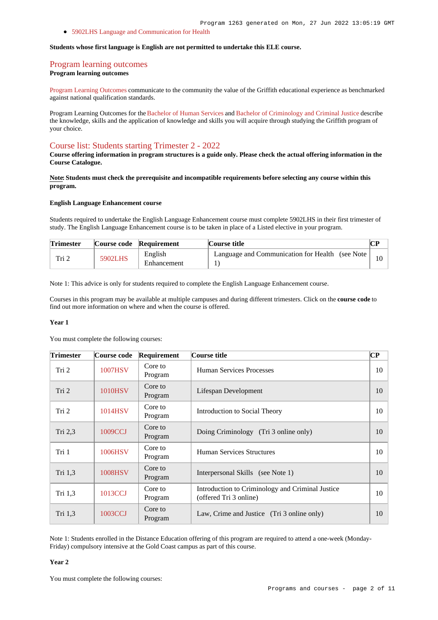[5902LHS Language and Communication for Health](https://www148.griffith.edu.au/Course/5902LHS)

#### **Students whose first language is English are not permitted to undertake this ELE course.**

# [Program learning outcomes](https://www148.griffith.edu.au/programs-courses/Program/1263/Courses/Domestic#programLearningOutcomes)

**Program learning outcomes**

[Program Learning Outcomes](https://www.griffith.edu.au/__data/assets/pdf_file/0017/134522/PLO-general-advice.pdf) communicate to the community the value of the Griffith educational experience as benchmarked against national qualification standards.

Program Learning Outcomes for the [Bachelor of Human Services](https://www.griffith.edu.au/__data/assets/pdf_file/0030/295626/BHuman-Service-PLO-L7.pdf) and [Bachelor of Criminology and Criminal Justice](https://www.griffith.edu.au/__data/assets/pdf_file/0040/293998/BCriminology-Criminal-Justice-PLO-L7.pdf) describe the knowledge, skills and the application of knowledge and skills you will acquire through studying the Griffith program of your choice.

# [Course list: Students starting Trimester 2 - 2022](https://www148.griffith.edu.au/programs-courses/Program/1263/Courses/Domestic#course-list-content)

**Course offering information in program structures is a guide only. Please check the actual offering information in the Course Catalogue.**

**Note: Students must check the prerequisite and incompatible requirements before selecting any course within this program.**

#### **English Language Enhancement course**

Students required to undertake the English Language Enhancement course must complete 5902LHS in their first trimester of study. The English Language Enhancement course is to be taken in place of a Listed elective in your program.

| <b>Trimester</b> |         | Course code Requirement | Course title                                     |  |
|------------------|---------|-------------------------|--------------------------------------------------|--|
| Tri 2            | 5902LHS | English<br>Enhancement  | Language and Communication for Health (see Note) |  |

Note 1: This advice is only for students required to complete the English Language Enhancement course.

Courses in this program may be available at multiple campuses and during different trimesters. Click on the **course code** to find out more information on where and when the course is offered.

#### **Year 1**

You must complete the following courses:

| <b>Trimester</b> | Course code    | Requirement        | Course title                                                               | <b>CP</b> |
|------------------|----------------|--------------------|----------------------------------------------------------------------------|-----------|
| Tri <sub>2</sub> | 1007HSV        | Core to<br>Program | Human Services Processes                                                   | 10        |
| Tri 2            | <b>1010HSV</b> | Core to<br>Program | Lifespan Development                                                       | 10        |
| Tri 2            | 1014HSV        | Core to<br>Program | Introduction to Social Theory                                              | 10        |
| Tri $2,3$        | 1009CCJ        | Core to<br>Program | Doing Criminology (Tri 3 online only)                                      | 10        |
| Tri 1            | 1006HSV        | Core to<br>Program | Human Services Structures                                                  | 10        |
| Tri 1,3          | <b>1008HSV</b> | Core to<br>Program | Interpersonal Skills (see Note 1)                                          | 10        |
| Tri $1,3$        | 1013CCJ        | Core to<br>Program | Introduction to Criminology and Criminal Justice<br>(offered Tri 3 online) | 10        |
| Tri 1,3          | 1003CCJ        | Core to<br>Program | Law, Crime and Justice (Tri 3 online only)                                 | 10        |

Note 1: Students enrolled in the Distance Education offering of this program are required to attend a one-week (Monday-Friday) compulsory intensive at the Gold Coast campus as part of this course.

## **Year 2**

You must complete the following courses: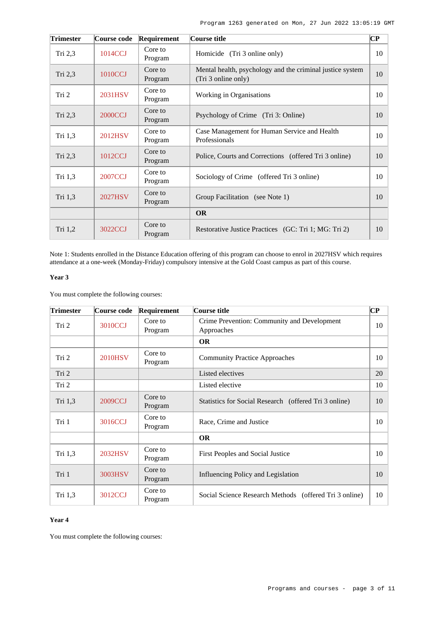| <b>Trimester</b> | Course code    | Requirement        | Course title                                                                     | $\bf CP$ |
|------------------|----------------|--------------------|----------------------------------------------------------------------------------|----------|
| Tri $2,3$        | 1014CCJ        | Core to<br>Program | Homicide (Tri 3 online only)                                                     | 10       |
| Tri 2,3          | 1010CCJ        | Core to<br>Program | Mental health, psychology and the criminal justice system<br>(Tri 3 online only) | 10       |
| Tri 2            | 2031HSV        | Core to<br>Program | Working in Organisations                                                         | 10       |
| Tri 2,3          | <b>2000CCJ</b> | Core to<br>Program | Psychology of Crime (Tri 3: Online)                                              | 10       |
| Tri 1,3          | <b>2012HSV</b> | Core to<br>Program | Case Management for Human Service and Health<br>Professionals                    | 10       |
| Tri $2,3$        | 1012CCJ        | Core to<br>Program | Police, Courts and Corrections (offered Tri 3 online)                            | 10       |
| Tri 1,3          | <b>2007CCJ</b> | Core to<br>Program | Sociology of Crime (offered Tri 3 online)                                        | 10       |
| Tri 1,3          | <b>2027HSV</b> | Core to<br>Program | Group Facilitation (see Note 1)                                                  | 10       |
|                  |                |                    | <b>OR</b>                                                                        |          |
| Tri $1,2$        | 3022CCJ        | Core to<br>Program | Restorative Justice Practices (GC: Tri 1; MG: Tri 2)                             | 10       |

Note 1: Students enrolled in the Distance Education offering of this program can choose to enrol in 2027HSV which requires attendance at a one-week (Monday-Friday) compulsory intensive at the Gold Coast campus as part of this course.

# **Year 3**

You must complete the following courses:

| <b>Trimester</b> | Course code    | Requirement        | Course title                                              | $\bf CP$ |
|------------------|----------------|--------------------|-----------------------------------------------------------|----------|
| Tri 2            | 3010CCJ        | Core to<br>Program | Crime Prevention: Community and Development<br>Approaches | 10       |
|                  |                |                    | <b>OR</b>                                                 |          |
| Tri 2            | <b>2010HSV</b> | Core to<br>Program | <b>Community Practice Approaches</b>                      | 10       |
| Tri <sub>2</sub> |                |                    | Listed electives                                          | 20       |
| Tri 2            |                |                    | Listed elective                                           | 10       |
| Tri 1,3          | 2009CCJ        | Core to<br>Program | Statistics for Social Research (offered Tri 3 online)     | 10       |
| Tri 1            | 3016CCJ        | Core to<br>Program | Race, Crime and Justice                                   | 10       |
|                  |                |                    | <b>OR</b>                                                 |          |
| Tri $1,3$        | 2032HSV        | Core to<br>Program | First Peoples and Social Justice                          | 10       |
| Tri 1            | 3003HSV        | Core to<br>Program | Influencing Policy and Legislation                        | 10       |
| Tri 1,3          | 3012CCJ        | Core to<br>Program | Social Science Research Methods (offered Tri 3 online)    | 10       |

# **Year 4**

You must complete the following courses: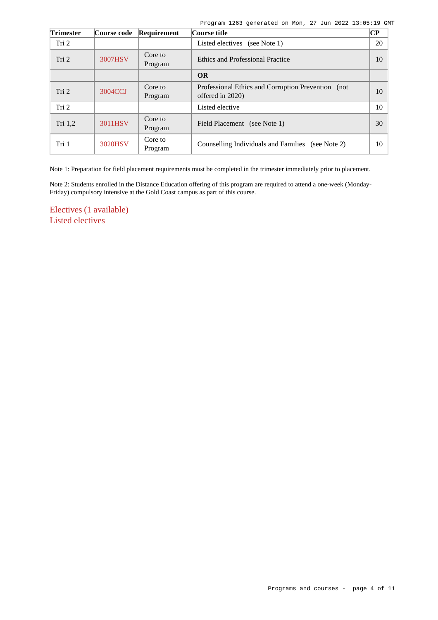|  | Program 1263 generated on Mon, 27 Jun 2022 13:05:19 GMT |  |  |  |  |
|--|---------------------------------------------------------|--|--|--|--|
|  |                                                         |  |  |  |  |

| <b>Trimester</b> | Course code | Requirement        | Course title                                                            | <b>CP</b> |
|------------------|-------------|--------------------|-------------------------------------------------------------------------|-----------|
| Tri <sub>2</sub> |             |                    | Listed electives (see Note 1)                                           | 20        |
| Tri 2            | 3007HSV     | Core to<br>Program | <b>Ethics and Professional Practice</b>                                 | 10        |
|                  |             |                    | <b>OR</b>                                                               |           |
| Tri 2            | 3004CCJ     | Core to<br>Program | Professional Ethics and Corruption Prevention (not)<br>offered in 2020) | 10        |
| Tri <sub>2</sub> |             |                    | Listed elective                                                         | 10        |
| Tri 1,2          | 3011HSV     | Core to<br>Program | Field Placement (see Note 1)                                            | 30        |
| Tri 1            | 3020HSV     | Core to<br>Program | Counselling Individuals and Families (see Note 2)                       | 10        |

Note 1: Preparation for field placement requirements must be completed in the trimester immediately prior to placement.

Note 2: Students enrolled in the Distance Education offering of this program are required to attend a one-week (Monday-Friday) compulsory intensive at the Gold Coast campus as part of this course.

Electives (1 available) Listed electives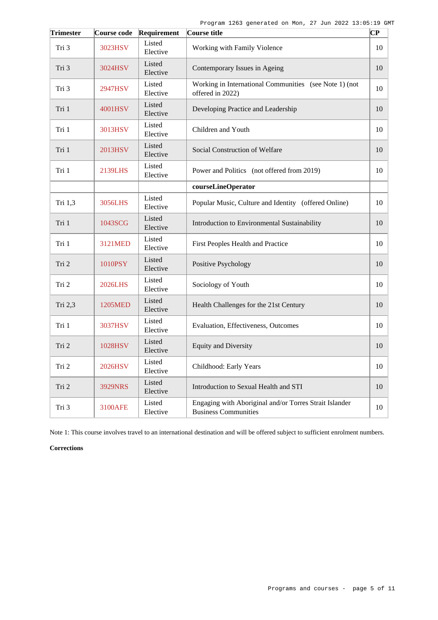| <b>Trimester</b> | Course code    | Requirement        | Course title                                                                          | $\overline{\mathbf{CP}}$ |
|------------------|----------------|--------------------|---------------------------------------------------------------------------------------|--------------------------|
| Tri 3            | 3023HSV        | Listed<br>Elective | Working with Family Violence                                                          | 10                       |
| Tri 3            | 3024HSV        | Listed<br>Elective | Contemporary Issues in Ageing                                                         | 10                       |
| Tri 3            | 2947HSV        | Listed<br>Elective | Working in International Communities (see Note 1) (not<br>offered in 2022)            | 10                       |
| Tri 1            | 4001HSV        | Listed<br>Elective | Developing Practice and Leadership                                                    | 10                       |
| Tri 1            | 3013HSV        | Listed<br>Elective | Children and Youth                                                                    | 10                       |
| Tri 1            | 2013HSV        | Listed<br>Elective | Social Construction of Welfare                                                        | 10                       |
| Tri 1            | 2139LHS        | Listed<br>Elective | Power and Politics (not offered from 2019)                                            | 10                       |
|                  |                |                    | courseLineOperator                                                                    |                          |
| Tri 1,3          | 3056LHS        | Listed<br>Elective | Popular Music, Culture and Identity (offered Online)                                  | 10                       |
| Tri 1            | 1043SCG        | Listed<br>Elective | Introduction to Environmental Sustainability                                          | 10                       |
| Tri 1            | 3121MED        | Listed<br>Elective | First Peoples Health and Practice                                                     | 10                       |
| Tri 2            | 1010PSY        | Listed<br>Elective | Positive Psychology                                                                   | 10                       |
| Tri 2            | <b>2026LHS</b> | Listed<br>Elective | Sociology of Youth                                                                    | 10                       |
| Tri 2,3          | 1205MED        | Listed<br>Elective | Health Challenges for the 21st Century                                                | 10                       |
| Tri 1            | 3037HSV        | Listed<br>Elective | Evaluation, Effectiveness, Outcomes                                                   | 10                       |
| Tri 2            | 1028HSV        | Listed<br>Elective | <b>Equity and Diversity</b>                                                           | 10                       |
| Tri 2            | 2026HSV        | Listed<br>Elective | Childhood: Early Years                                                                | 10                       |
| Tri 2            | 3929NRS        | Listed<br>Elective | Introduction to Sexual Health and STI                                                 | 10                       |
| Tri 3            | 3100AFE        | Listed<br>Elective | Engaging with Aboriginal and/or Torres Strait Islander<br><b>Business Communities</b> | 10                       |

Note 1: This course involves travel to an international destination and will be offered subject to sufficient enrolment numbers.

# **Corrections**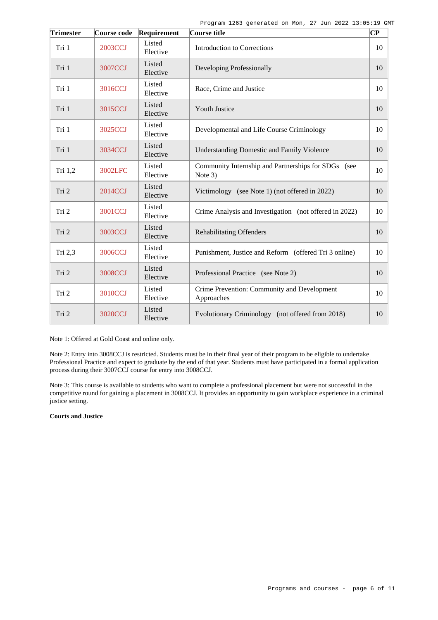| <b>Trimester</b> | Course code    | Requirement        | Course title                                                   | $\overline{\mathbf{C}\mathbf{P}}$ |
|------------------|----------------|--------------------|----------------------------------------------------------------|-----------------------------------|
| Tri 1            | <b>2003CCJ</b> | Listed<br>Elective | <b>Introduction to Corrections</b>                             | 10                                |
| Tri 1            | <b>3007CCJ</b> | Listed<br>Elective | Developing Professionally                                      | 10                                |
| Tri 1            | 3016CCJ        | Listed<br>Elective | Race, Crime and Justice                                        | 10                                |
| Tri 1            | 3015CCJ        | Listed<br>Elective | <b>Youth Justice</b>                                           | 10                                |
| Tri 1            | 3025CCJ        | Listed<br>Elective | Developmental and Life Course Criminology                      | 10                                |
| Tri 1            | 3034CCJ        | Listed<br>Elective | <b>Understanding Domestic and Family Violence</b>              | 10                                |
| Tri $1,2$        | 3002LFC        | Listed<br>Elective | Community Internship and Partnerships for SDGs (see<br>Note 3) | 10                                |
| Tri 2            | 2014CCJ        | Listed<br>Elective | Victimology (see Note 1) (not offered in 2022)                 | 10                                |
| Tri 2            | <b>3001CCJ</b> | Listed<br>Elective | Crime Analysis and Investigation (not offered in 2022)         | 10                                |
| Tri 2            | 3003CCJ        | Listed<br>Elective | <b>Rehabilitating Offenders</b>                                | 10                                |
| Tri 2,3          | 3006CCJ        | Listed<br>Elective | Punishment, Justice and Reform (offered Tri 3 online)          | 10                                |
| Tri 2            | <b>3008CCJ</b> | Listed<br>Elective | Professional Practice (see Note 2)                             | 10                                |
| Tri 2            | 3010CCJ        | Listed<br>Elective | Crime Prevention: Community and Development<br>Approaches      | 10                                |
| Tri 2            | 3020CCJ        | Listed<br>Elective | Evolutionary Criminology (not offered from 2018)               | 10                                |

Note 1: Offered at Gold Coast and online only.

Note 2: Entry into 3008CCJ is restricted. Students must be in their final year of their program to be eligible to undertake Professional Practice and expect to graduate by the end of that year. Students must have participated in a formal application process during their 3007CCJ course for entry into 3008CCJ.

Note 3: This course is available to students who want to complete a professional placement but were not successful in the competitive round for gaining a placement in 3008CCJ. It provides an opportunity to gain workplace experience in a criminal justice setting.

# **Courts and Justice**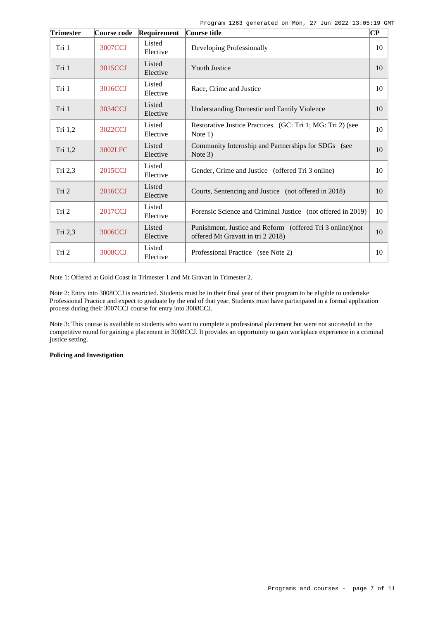Program 1263 generated on Mon, 27 Jun 2022 13:05:19 GMT

| <b>Trimester</b> | Course code | Requirement        | Course title                                                                                   | $ {\bf CP}$ |
|------------------|-------------|--------------------|------------------------------------------------------------------------------------------------|-------------|
| Tri 1            | 3007CCJ     | Listed<br>Elective | Developing Professionally                                                                      | 10          |
| Tri 1            | 3015CCJ     | Listed<br>Elective | <b>Youth Justice</b>                                                                           | 10          |
| Tri 1            | 3016CCJ     | Listed<br>Elective | Race, Crime and Justice                                                                        | 10          |
| Tri 1            | 3034CCJ     | Listed<br>Elective | <b>Understanding Domestic and Family Violence</b>                                              | 10          |
| Tri 1,2          | 3022CCJ     | Listed<br>Elective | Restorative Justice Practices (GC: Tri 1; MG: Tri 2) (see<br>Note $1)$                         | 10          |
| Tri 1,2          | 3002LFC     | Listed<br>Elective | Community Internship and Partnerships for SDGs (see<br>Note 3)                                 | 10          |
| Tri 2,3          | 2015CCJ     | Listed<br>Elective | Gender, Crime and Justice (offered Tri 3 online)                                               | 10          |
| Tri 2            | 2016CCJ     | Listed<br>Elective | Courts, Sentencing and Justice (not offered in 2018)                                           | 10          |
| Tri 2            | 2017CCJ     | Listed<br>Elective | Forensic Science and Criminal Justice (not offered in 2019)                                    | 10          |
| Tri 2,3          | 3006CCJ     | Listed<br>Elective | Punishment, Justice and Reform (offered Tri 3 online)(not<br>offered Mt Gravatt in tri 2 2018) | 10          |
| Tri 2            | 3008CCJ     | Listed<br>Elective | Professional Practice (see Note 2)                                                             | 10          |

Note 1: Offered at Gold Coast in Trimester 1 and Mt Gravatt in Trimester 2.

Note 2: Entry into 3008CCJ is restricted. Students must be in their final year of their program to be eligible to undertake Professional Practice and expect to graduate by the end of that year. Students must have participated in a formal application process during their 3007CCJ course for entry into 3008CCJ.

Note 3: This course is available to students who want to complete a professional placement but were not successful in the competitive round for gaining a placement in 3008CCJ. It provides an opportunity to gain workplace experience in a criminal justice setting.

# **Policing and Investigation**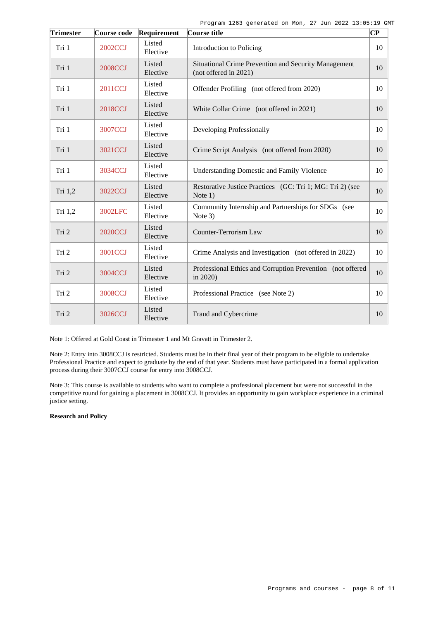| <b>Trimester</b> | Course code    | Requirement        | Course title                                                                  |    |
|------------------|----------------|--------------------|-------------------------------------------------------------------------------|----|
| Tri 1            | 2002CCJ        | Listed<br>Elective | Introduction to Policing                                                      | 10 |
| Tri 1            | <b>2008CCJ</b> | Listed<br>Elective | Situational Crime Prevention and Security Management<br>(not offered in 2021) | 10 |
| Tri 1            | 2011CCJ        | Listed<br>Elective | Offender Profiling (not offered from 2020)                                    | 10 |
| Tri 1            | 2018CCJ        | Listed<br>Elective | White Collar Crime (not offered in 2021)                                      | 10 |
| Tri 1            | 3007CCJ        | Listed<br>Elective | Developing Professionally                                                     | 10 |
| Tri 1            | 3021CCJ        | Listed<br>Elective | Crime Script Analysis (not offered from 2020)                                 | 10 |
| Tri 1            | 3034CCJ        | Listed<br>Elective | <b>Understanding Domestic and Family Violence</b>                             | 10 |
| Tri 1,2          | 3022CCJ        | Listed<br>Elective | Restorative Justice Practices (GC: Tri 1; MG: Tri 2) (see<br>Note $1)$        | 10 |
| Tri 1,2          | 3002LFC        | Listed<br>Elective | Community Internship and Partnerships for SDGs (see<br>Note 3)                | 10 |
| Tri 2            | <b>2020CCJ</b> | Listed<br>Elective | <b>Counter-Terrorism Law</b>                                                  | 10 |
| Tri 2            | 3001CCJ        | Listed<br>Elective | Crime Analysis and Investigation (not offered in 2022)                        | 10 |
| Tri 2            | 3004CCJ        | Listed<br>Elective | Professional Ethics and Corruption Prevention (not offered<br>in 2020)        | 10 |
| Tri 2            | <b>3008CCJ</b> | Listed<br>Elective | Professional Practice (see Note 2)                                            | 10 |
| Tri 2            | 3026CCJ        | Listed<br>Elective | Fraud and Cybercrime                                                          | 10 |

Note 1: Offered at Gold Coast in Trimester 1 and Mt Gravatt in Trimester 2.

Note 2: Entry into 3008CCJ is restricted. Students must be in their final year of their program to be eligible to undertake Professional Practice and expect to graduate by the end of that year. Students must have participated in a formal application process during their 3007CCJ course for entry into 3008CCJ.

Note 3: This course is available to students who want to complete a professional placement but were not successful in the competitive round for gaining a placement in 3008CCJ. It provides an opportunity to gain workplace experience in a criminal justice setting.

# **Research and Policy**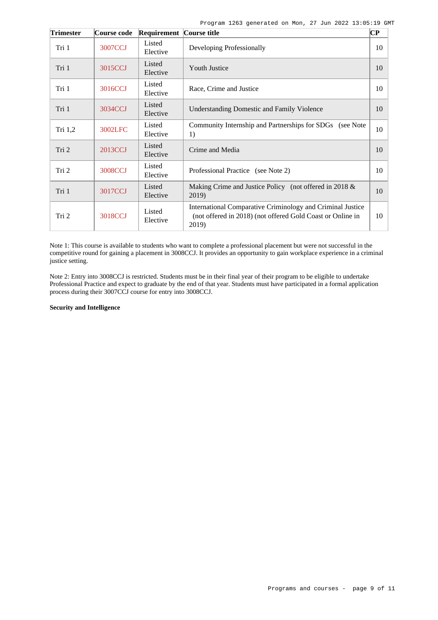Program 1263 generated on Mon, 27 Jun 2022 13:05:19 GMT

| <b>Trimester</b> | Course code | Requirement Course title |                                                                                                                                   | $\overline{\mathbf{C}\mathbf{P}}$ |
|------------------|-------------|--------------------------|-----------------------------------------------------------------------------------------------------------------------------------|-----------------------------------|
| Tri 1            | 3007CCJ     | Listed<br>Elective       | Developing Professionally                                                                                                         | 10                                |
| Tri 1            | 3015CCJ     | Listed<br>Elective       | <b>Youth Justice</b>                                                                                                              | 10                                |
| Tri 1            | 3016CCJ     | Listed<br>Elective       | Race, Crime and Justice                                                                                                           | 10                                |
| Tri 1            | 3034CCJ     | Listed<br>Elective       | <b>Understanding Domestic and Family Violence</b>                                                                                 | 10                                |
| Tri 1,2          | 3002LFC     | Listed<br>Elective       | Community Internship and Partnerships for SDGs (see Note<br>1)                                                                    | 10                                |
| Tri 2            | 2013CCJ     | Listed<br>Elective       | Crime and Media                                                                                                                   | 10                                |
| Tri 2            | 3008CCJ     | Listed<br>Elective       | Professional Practice (see Note 2)                                                                                                | 10                                |
| Tri 1            | 3017CCJ     | Listed<br>Elective       | Making Crime and Justice Policy (not offered in 2018 &<br>2019)                                                                   | 10                                |
| Tri 2            | 3018CCJ     | Listed<br>Elective       | International Comparative Criminology and Criminal Justice<br>(not offered in 2018) (not offered Gold Coast or Online in<br>2019) | 10                                |

Note 1: This course is available to students who want to complete a professional placement but were not successful in the competitive round for gaining a placement in 3008CCJ. It provides an opportunity to gain workplace experience in a criminal justice setting.

Note 2: Entry into 3008CCJ is restricted. Students must be in their final year of their program to be eligible to undertake Professional Practice and expect to graduate by the end of that year. Students must have participated in a formal application process during their 3007CCJ course for entry into 3008CCJ.

# **Security and Intelligence**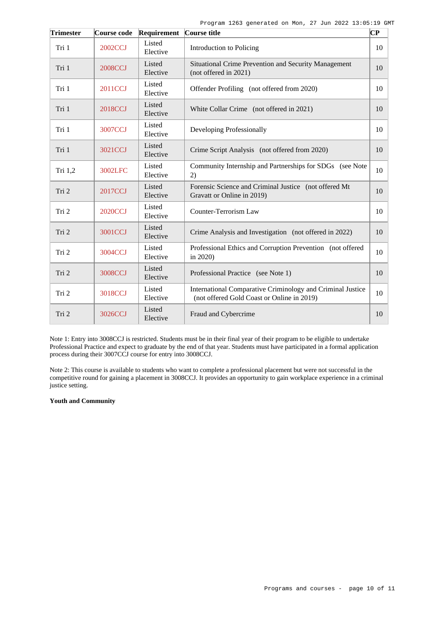| <b>Trimester</b> | Course code    | Requirement        | Course title                                                                                             | $\overline{\mathbf{C}\mathbf{P}}$ |
|------------------|----------------|--------------------|----------------------------------------------------------------------------------------------------------|-----------------------------------|
| Tri 1            | 2002CCJ        | Listed<br>Elective | Introduction to Policing                                                                                 | 10                                |
| Tri 1            | <b>2008CCJ</b> | Listed<br>Elective | Situational Crime Prevention and Security Management<br>(not offered in 2021)                            | 10                                |
| Tri 1            | 2011CCJ        | Listed<br>Elective | Offender Profiling (not offered from 2020)                                                               | 10                                |
| Tri 1            | 2018CCJ        | Listed<br>Elective | White Collar Crime (not offered in 2021)                                                                 | 10                                |
| Tri 1            | <b>3007CCJ</b> | Listed<br>Elective | Developing Professionally                                                                                | 10                                |
| Tri 1            | 3021CCJ        | Listed<br>Elective | Crime Script Analysis (not offered from 2020)                                                            | 10                                |
| Tri $1,2$        | 3002LFC        | Listed<br>Elective | Community Internship and Partnerships for SDGs (see Note<br>2)                                           | 10                                |
| Tri 2            | 2017CCJ        | Listed<br>Elective | Forensic Science and Criminal Justice (not offered Mt<br>Gravatt or Online in 2019)                      | 10                                |
| Tri 2            | <b>2020CCJ</b> | Listed<br>Elective | Counter-Terrorism Law                                                                                    | 10                                |
| Tri 2            | 3001CCJ        | Listed<br>Elective | Crime Analysis and Investigation (not offered in 2022)                                                   | 10                                |
| Tri 2            | 3004CCJ        | Listed<br>Elective | Professional Ethics and Corruption Prevention (not offered<br>in 2020)                                   | 10                                |
| Tri 2            | <b>3008CCJ</b> | Listed<br>Elective | Professional Practice (see Note 1)                                                                       | 10                                |
| Tri 2            | 3018CCJ        | Listed<br>Elective | International Comparative Criminology and Criminal Justice<br>(not offered Gold Coast or Online in 2019) | 10                                |
| Tri 2            | 3026CCJ        | Listed<br>Elective | Fraud and Cybercrime                                                                                     | 10                                |

Note 1: Entry into 3008CCJ is restricted. Students must be in their final year of their program to be eligible to undertake Professional Practice and expect to graduate by the end of that year. Students must have participated in a formal application process during their 3007CCJ course for entry into 3008CCJ.

Note 2: This course is available to students who want to complete a professional placement but were not successful in the competitive round for gaining a placement in 3008CCJ. It provides an opportunity to gain workplace experience in a criminal justice setting.

# **Youth and Community**